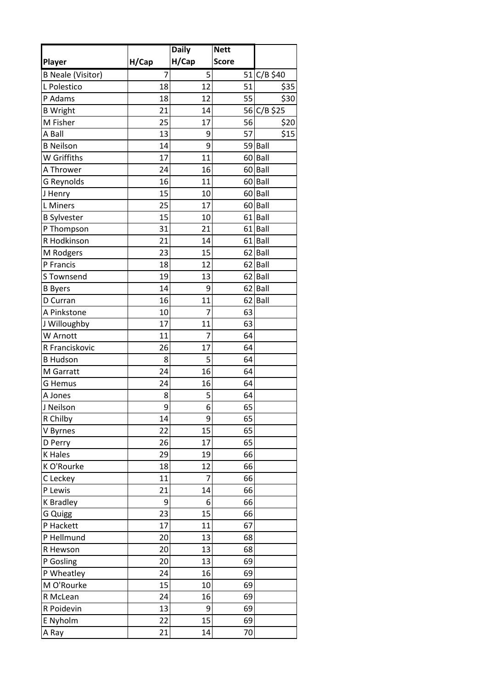|                          |       | <b>Daily</b>   | <b>Nett</b>  |                      |
|--------------------------|-------|----------------|--------------|----------------------|
| Player                   | H/Cap | H/Cap          | <b>Score</b> |                      |
| <b>B Neale (Visitor)</b> | 7     | 5              |              | 51 C/B \$40          |
| L Polestico              | 18    | 12             | 51           | \$35                 |
| P Adams                  | 18    | 12             | 55           | \$30                 |
| <b>B</b> Wright          | 21    | 14             |              | 56 C/B \$25          |
| M Fisher                 | 25    | 17             | 56           | \$20                 |
| A Ball                   | 13    | 9              | 57           | \$15                 |
| <b>B</b> Neilson         | 14    | 9              |              | 59 Ball              |
| W Griffiths              | 17    | 11             |              | 60 Ball              |
| A Thrower                | 24    | 16             |              | 60 Ball              |
| <b>G Reynolds</b>        | 16    | 11             |              | 60 Ball              |
| J Henry                  | 15    | 10             |              | 60 Ball              |
| L Miners                 | 25    | 17             |              | 60 Ball              |
| <b>B</b> Sylvester       | 15    | 10             |              | $61$ Ball            |
| P Thompson               | 31    | 21             |              | $\overline{61}$ Ball |
| R Hodkinson              | 21    | 14             |              | 61 Ball              |
| M Rodgers                | 23    | 15             |              | 62 Ball              |
| P Francis                | 18    | 12             |              | 62 Ball              |
| S Townsend               | 19    | 13             |              | 62 Ball              |
| <b>B</b> Byers           | 14    | 9              | 62           | Ball                 |
| D Curran                 | 16    | 11             |              | 62 Ball              |
| A Pinkstone              | 10    | $\overline{7}$ | 63           |                      |
| J Willoughby             | 17    | 11             | 63           |                      |
| W Arnott                 | 11    | 7              | 64           |                      |
| R Franciskovic           | 26    | 17             | 64           |                      |
| <b>B Hudson</b>          | 8     | 5              | 64           |                      |
| M Garratt                | 24    | 16             | 64           |                      |
| G Hemus                  | 24    | 16             | 64           |                      |
| A Jones                  | 8     | 5              | 64           |                      |
| J Neilson                | 9     | 6              | 65           |                      |
| R Chilby                 | 14    | 9              | 65           |                      |
| V Byrnes                 | 22    | 15             | 65           |                      |
| D Perry                  | 26    | 17             | 65           |                      |
| <b>K</b> Hales           | 29    | 19             | 66           |                      |
| K O'Rourke               | 18    | 12             | 66           |                      |
| C Leckey                 | 11    | $\overline{7}$ | 66           |                      |
| P Lewis                  | 21    | 14             | 66           |                      |
| <b>K</b> Bradley         | 9     | 6              | 66           |                      |
| G Quigg                  | 23    | 15             | 66           |                      |
| P Hackett                | 17    | 11             | 67           |                      |
| P Hellmund               | 20    | 13             | 68           |                      |
| R Hewson                 | 20    | 13             | 68           |                      |
| P Gosling                | 20    | 13             | 69           |                      |
| P Wheatley               | 24    | 16             | 69           |                      |
| M O'Rourke               | 15    | 10             | 69           |                      |
| R McLean                 | 24    | 16             | 69           |                      |
| R Poidevin               | 13    | 9              | 69           |                      |
| E Nyholm                 | 22    | 15             | 69           |                      |
| A Ray                    | 21    | 14             | 70           |                      |